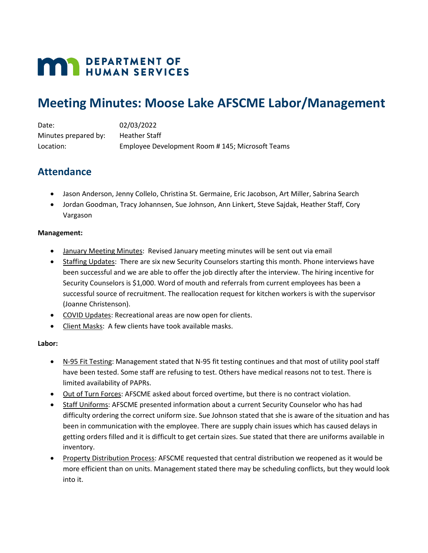# **MAY DEPARTMENT OF HUMAN SERVICES**

## **Meeting Minutes: Moose Lake AFSCME Labor/Management**

| Date:                | 02/03/2022                                      |
|----------------------|-------------------------------------------------|
| Minutes prepared by: | <b>Heather Staff</b>                            |
| Location:            | Employee Development Room #145; Microsoft Teams |

## **Attendance**

- Jason Anderson, Jenny Collelo, Christina St. Germaine, Eric Jacobson, Art Miller, Sabrina Search
- Jordan Goodman, Tracy Johannsen, Sue Johnson, Ann Linkert, Steve Sajdak, Heather Staff, Cory Vargason

### **Management:**

- January Meeting Minutes: Revised January meeting minutes will be sent out via email
- Staffing Updates: There are six new Security Counselors starting this month. Phone interviews have been successful and we are able to offer the job directly after the interview. The hiring incentive for Security Counselors is \$1,000. Word of mouth and referrals from current employees has been a successful source of recruitment. The reallocation request for kitchen workers is with the supervisor (Joanne Christenson).
- COVID Updates: Recreational areas are now open for clients.
- Client Masks: A few clients have took available masks.

#### **Labor:**

- N-95 Fit Testing: Management stated that N-95 fit testing continues and that most of utility pool staff have been tested. Some staff are refusing to test. Others have medical reasons not to test. There is limited availability of PAPRs.
- Out of Turn Forces: AFSCME asked about forced overtime, but there is no contract violation.
- Staff Uniforms: AFSCME presented information about a current Security Counselor who has had difficulty ordering the correct uniform size. Sue Johnson stated that she is aware of the situation and has been in communication with the employee. There are supply chain issues which has caused delays in getting orders filled and it is difficult to get certain sizes. Sue stated that there are uniforms available in inventory.
- Property Distribution Process: AFSCME requested that central distribution we reopened as it would be more efficient than on units. Management stated there may be scheduling conflicts, but they would look into it.